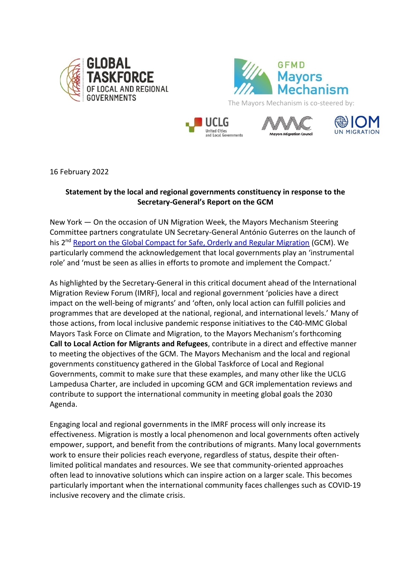









16 February 2022

## **Statement by the local and regional governments constituency in response to the Secretary-General's Report on the GCM**

New York — On the occasion of UN Migration Week, the Mayors Mechanism Steering Committee partners congratulate UN Secretary-General António Guterres on the launch of his 2<sup>nd</sup> [Report on the Global Compact for Safe, Orderly and Regular Migration](https://migrationnetwork.un.org/resources/secretary-general-report) (GCM). We particularly commend the acknowledgement that local governments play an 'instrumental role' and 'must be seen as allies in efforts to promote and implement the Compact.'

As highlighted by the Secretary-General in this critical document ahead of the International Migration Review Forum (IMRF), local and regional government 'policies have a direct impact on the well-being of migrants' and 'often, only local action can fulfill policies and programmes that are developed at the national, regional, and international levels.' Many of those actions, from local inclusive pandemic response initiatives to the C40-MMC Global Mayors Task Force on Climate and Migration, to the Mayors Mechanism's forthcoming **Call to Local Action for Migrants and Refugees**, contribute in a direct and effective manner to meeting the objectives of the GCM. The Mayors Mechanism and the local and regional governments constituency gathered in the Global Taskforce of Local and Regional Governments, commit to make sure that these examples, and many other like the UCLG Lampedusa Charter, are included in upcoming GCM and GCR implementation reviews and contribute to support the international community in meeting global goals the 2030 Agenda.

Engaging local and regional governments in the IMRF process will only increase its effectiveness. Migration is mostly a local phenomenon and local governments often actively empower, support, and benefit from the contributions of migrants. Many local governments work to ensure their policies reach everyone, regardless of status, despite their oftenlimited political mandates and resources. We see that community-oriented approaches often lead to innovative solutions which can inspire action on a larger scale. This becomes particularly important when the international community faces challenges such as COVID-19 inclusive recovery and the climate crisis.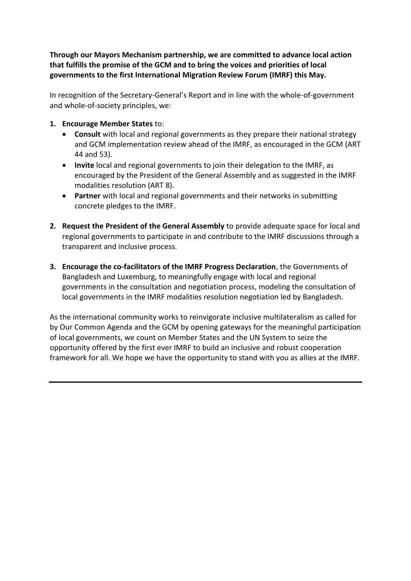**Through our Mayors Mechanism partnership, we are committed to advance local action that fulfills the promise of the GCM and to bring the voices and priorities of local governments to the first International Migration Review Forum (IMRF) this May.**

In recognition of the Secretary-General's Report and in line with the whole-of-government and whole-of-society principles, we:

- **1. Encourage Member States** to:
	- **Consult** with local and regional governments as they prepare their national strategy and GCM implementation review ahead of the IMRF, as encouraged in the GCM (ART 44 and 53).
	- **Invite** local and regional governments to join their delegation to the IMRF, as encouraged by the President of the General Assembly and as suggested in the IMRF modalities resolution (ART 8).
	- **Partner** with local and regional governments and their networks in submitting concrete pledges to the IMRF.
- **2. Request the President of the General Assembly** to provide adequate space for local and regional governments to participate in and contribute to the IMRF discussions through a transparent and inclusive process.
- **3. Encourage the co-facilitators of the IMRF Progress Declaration**, the Governments of Bangladesh and Luxemburg, to meaningfully engage with local and regional governments in the consultation and negotiation process, modeling the consultation of local governments in the IMRF modalities resolution negotiation led by Bangladesh.

As the international community works to reinvigorate inclusive multilateralism as called for by Our Common Agenda and the GCM by opening gateways for the meaningful participation of local governments, we count on Member States and the UN System to seize the opportunity offered by the first ever IMRF to build an inclusive and robust cooperation framework for all. We hope we have the opportunity to stand with you as allies at the IMRF.